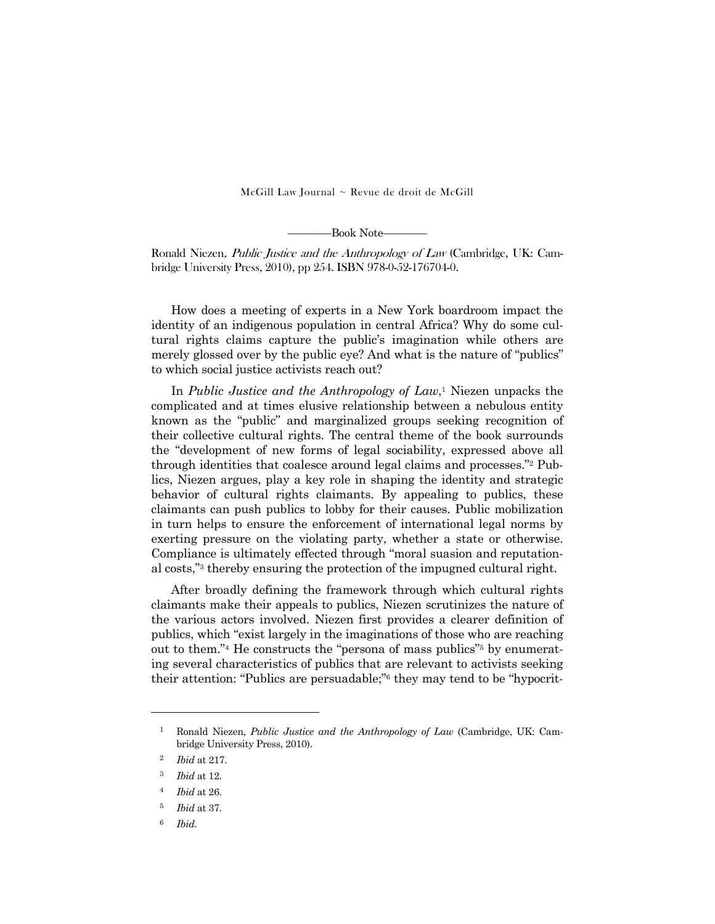$McGill Law Journal ~ Revue de droit de McGill$ 

————Book Note————

Ronald Niezen, Public Justice and the Anthropology of Law (Cambridge, UK: Cambridge University Press, 2010), pp 254. ISBN 978-0-52-176704-0.

 How does a meeting of experts in a New York boardroom impact the identity of an indigenous population in central Africa? Why do some cultural rights claims capture the public's imagination while others are merely glossed over by the public eye? And what is the nature of "publics" to which social justice activists reach out?

 In *Public Justice and the Anthropology of Law*,1 Niezen unpacks the complicated and at times elusive relationship between a nebulous entity known as the "public" and marginalized groups seeking recognition of their collective cultural rights. The central theme of the book surrounds the "development of new forms of legal sociability, expressed above all through identities that coalesce around legal claims and processes."2 Publics, Niezen argues, play a key role in shaping the identity and strategic behavior of cultural rights claimants. By appealing to publics, these claimants can push publics to lobby for their causes. Public mobilization in turn helps to ensure the enforcement of international legal norms by exerting pressure on the violating party, whether a state or otherwise. Compliance is ultimately effected through "moral suasion and reputational costs,"3 thereby ensuring the protection of the impugned cultural right.

 After broadly defining the framework through which cultural rights claimants make their appeals to publics, Niezen scrutinizes the nature of the various actors involved. Niezen first provides a clearer definition of publics, which "exist largely in the imaginations of those who are reaching out to them."4 He constructs the "persona of mass publics"5 by enumerating several characteristics of publics that are relevant to activists seeking their attention: "Publics are persuadable;"6 they may tend to be "hypocrit-

-

<sup>1</sup> Ronald Niezen, *Public Justice and the Anthropology of Law* (Cambridge, UK: Cambridge University Press, 2010).

<sup>2</sup> *Ibid* at 217.

<sup>3</sup> *Ibid* at 12.

<sup>4</sup> *Ibid* at 26.

<sup>5</sup> *Ibid* at 37.

<sup>6</sup> *Ibid.*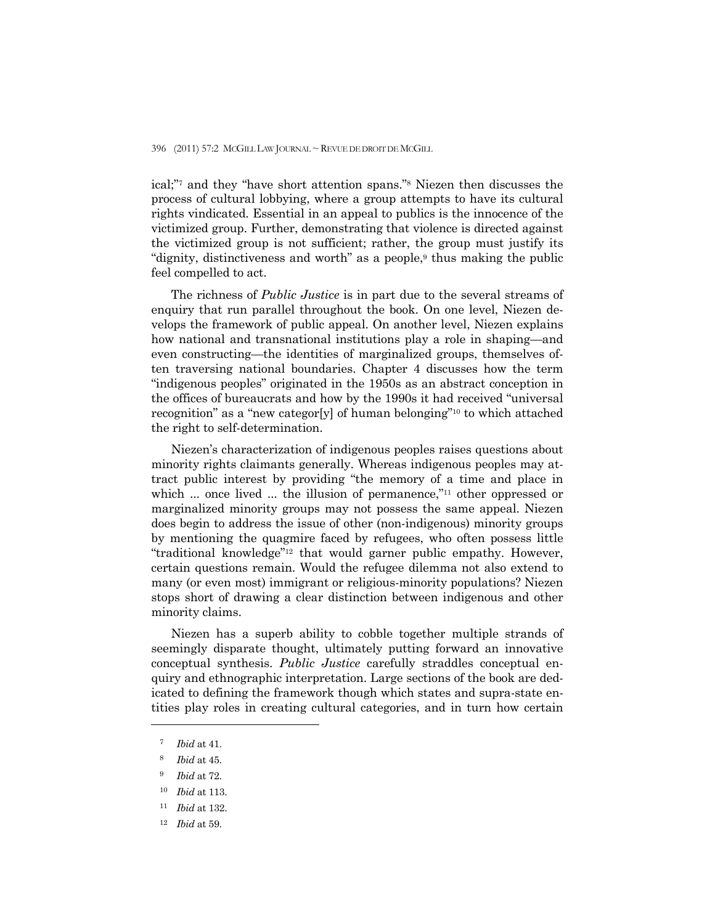396 (2011) 57:2 MCGILL LAW JOURNAL ~ REVUE DE DROIT DE MCGILL

ical;"7 and they "have short attention spans."8 Niezen then discusses the process of cultural lobbying, where a group attempts to have its cultural rights vindicated. Essential in an appeal to publics is the innocence of the victimized group. Further, demonstrating that violence is directed against the victimized group is not sufficient; rather, the group must justify its "dignity, distinctiveness and worth" as a people,9 thus making the public feel compelled to act.

 The richness of *Public Justice* is in part due to the several streams of enquiry that run parallel throughout the book. On one level, Niezen develops the framework of public appeal. On another level, Niezen explains how national and transnational institutions play a role in shaping—and even constructing—the identities of marginalized groups, themselves often traversing national boundaries. Chapter 4 discusses how the term "indigenous peoples" originated in the 1950s as an abstract conception in the offices of bureaucrats and how by the 1990s it had received "universal recognition" as a "new categor[y] of human belonging"10 to which attached the right to self-determination.

 Niezen's characterization of indigenous peoples raises questions about minority rights claimants generally. Whereas indigenous peoples may attract public interest by providing "the memory of a time and place in which ... once lived ... the illusion of permanence,"<sup>11</sup> other oppressed or marginalized minority groups may not possess the same appeal. Niezen does begin to address the issue of other (non-indigenous) minority groups by mentioning the quagmire faced by refugees, who often possess little "traditional knowledge"12 that would garner public empathy. However, certain questions remain. Would the refugee dilemma not also extend to many (or even most) immigrant or religious-minority populations? Niezen stops short of drawing a clear distinction between indigenous and other minority claims.

 Niezen has a superb ability to cobble together multiple strands of seemingly disparate thought, ultimately putting forward an innovative conceptual synthesis. *Public Justice* carefully straddles conceptual enquiry and ethnographic interpretation. Large sections of the book are dedicated to defining the framework though which states and supra-state entities play roles in creating cultural categories, and in turn how certain

-

<sup>7</sup> *Ibid* at 41.

<sup>8</sup> *Ibid* at 45.

<sup>9</sup> *Ibid* at 72.

<sup>10</sup> *Ibid* at 113.

<sup>11</sup> *Ibid* at 132.

<sup>12</sup> *Ibid* at 59.